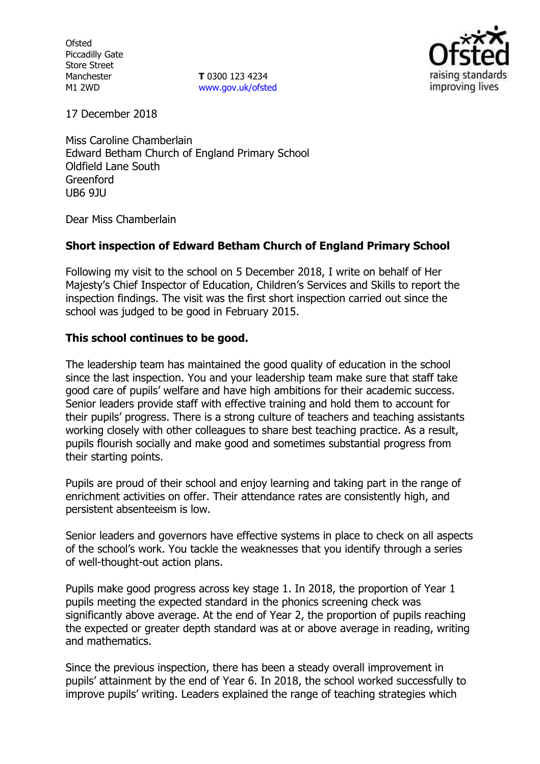**Ofsted** Piccadilly Gate Store Street Manchester M1 2WD

**T** 0300 123 4234 www.gov.uk/ofsted



17 December 2018

Miss Caroline Chamberlain Edward Betham Church of England Primary School Oldfield Lane South Greenford UB6 9JU

Dear Miss Chamberlain

# **Short inspection of Edward Betham Church of England Primary School**

Following my visit to the school on 5 December 2018, I write on behalf of Her Majesty's Chief Inspector of Education, Children's Services and Skills to report the inspection findings. The visit was the first short inspection carried out since the school was judged to be good in February 2015.

# **This school continues to be good.**

The leadership team has maintained the good quality of education in the school since the last inspection. You and your leadership team make sure that staff take good care of pupils' welfare and have high ambitions for their academic success. Senior leaders provide staff with effective training and hold them to account for their pupils' progress. There is a strong culture of teachers and teaching assistants working closely with other colleagues to share best teaching practice. As a result, pupils flourish socially and make good and sometimes substantial progress from their starting points.

Pupils are proud of their school and enjoy learning and taking part in the range of enrichment activities on offer. Their attendance rates are consistently high, and persistent absenteeism is low.

Senior leaders and governors have effective systems in place to check on all aspects of the school's work. You tackle the weaknesses that you identify through a series of well-thought-out action plans.

Pupils make good progress across key stage 1. In 2018, the proportion of Year 1 pupils meeting the expected standard in the phonics screening check was significantly above average. At the end of Year 2, the proportion of pupils reaching the expected or greater depth standard was at or above average in reading, writing and mathematics.

Since the previous inspection, there has been a steady overall improvement in pupils' attainment by the end of Year 6. In 2018, the school worked successfully to improve pupils' writing. Leaders explained the range of teaching strategies which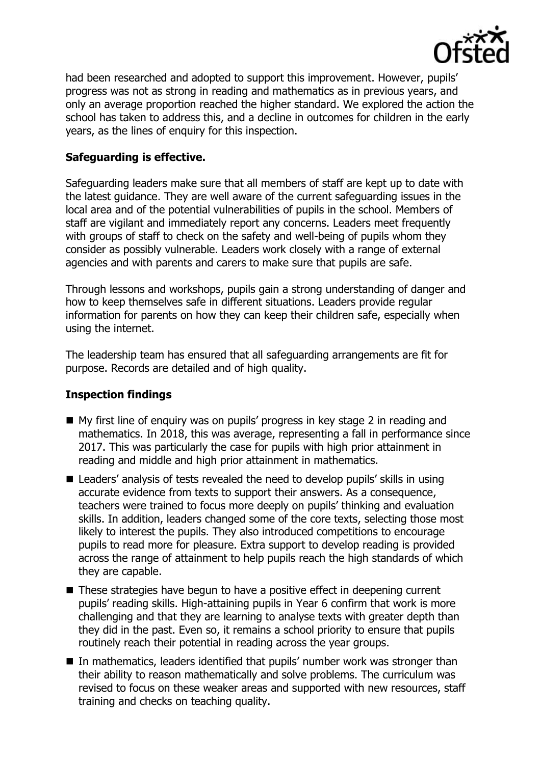

had been researched and adopted to support this improvement. However, pupils' progress was not as strong in reading and mathematics as in previous years, and only an average proportion reached the higher standard. We explored the action the school has taken to address this, and a decline in outcomes for children in the early years, as the lines of enquiry for this inspection.

## **Safeguarding is effective.**

Safeguarding leaders make sure that all members of staff are kept up to date with the latest guidance. They are well aware of the current safeguarding issues in the local area and of the potential vulnerabilities of pupils in the school. Members of staff are vigilant and immediately report any concerns. Leaders meet frequently with groups of staff to check on the safety and well-being of pupils whom they consider as possibly vulnerable. Leaders work closely with a range of external agencies and with parents and carers to make sure that pupils are safe.

Through lessons and workshops, pupils gain a strong understanding of danger and how to keep themselves safe in different situations. Leaders provide regular information for parents on how they can keep their children safe, especially when using the internet.

The leadership team has ensured that all safeguarding arrangements are fit for purpose. Records are detailed and of high quality.

### **Inspection findings**

- My first line of enquiry was on pupils' progress in key stage 2 in reading and mathematics. In 2018, this was average, representing a fall in performance since 2017. This was particularly the case for pupils with high prior attainment in reading and middle and high prior attainment in mathematics.
- Leaders' analysis of tests revealed the need to develop pupils' skills in using accurate evidence from texts to support their answers. As a consequence, teachers were trained to focus more deeply on pupils' thinking and evaluation skills. In addition, leaders changed some of the core texts, selecting those most likely to interest the pupils. They also introduced competitions to encourage pupils to read more for pleasure. Extra support to develop reading is provided across the range of attainment to help pupils reach the high standards of which they are capable.
- These strategies have begun to have a positive effect in deepening current pupils' reading skills. High-attaining pupils in Year 6 confirm that work is more challenging and that they are learning to analyse texts with greater depth than they did in the past. Even so, it remains a school priority to ensure that pupils routinely reach their potential in reading across the year groups.
- In mathematics, leaders identified that pupils' number work was stronger than their ability to reason mathematically and solve problems. The curriculum was revised to focus on these weaker areas and supported with new resources, staff training and checks on teaching quality.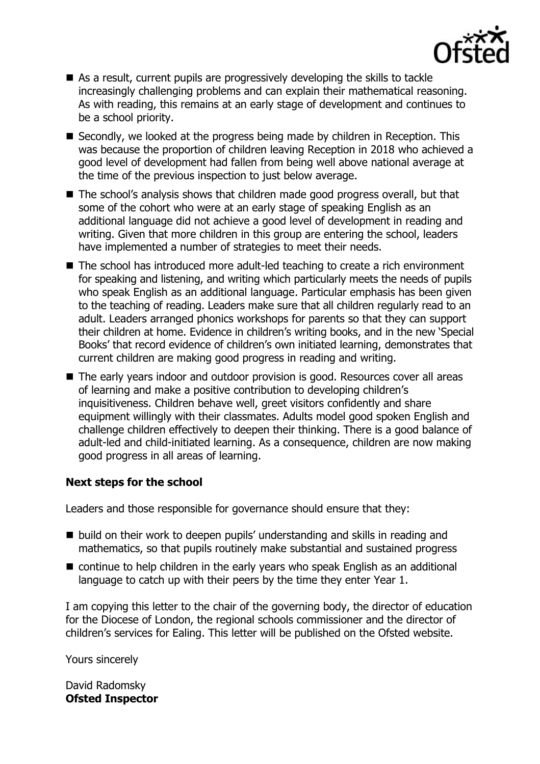

- As a result, current pupils are progressively developing the skills to tackle increasingly challenging problems and can explain their mathematical reasoning. As with reading, this remains at an early stage of development and continues to be a school priority.
- Secondly, we looked at the progress being made by children in Reception. This was because the proportion of children leaving Reception in 2018 who achieved a good level of development had fallen from being well above national average at the time of the previous inspection to just below average.
- The school's analysis shows that children made good progress overall, but that some of the cohort who were at an early stage of speaking English as an additional language did not achieve a good level of development in reading and writing. Given that more children in this group are entering the school, leaders have implemented a number of strategies to meet their needs.
- The school has introduced more adult-led teaching to create a rich environment for speaking and listening, and writing which particularly meets the needs of pupils who speak English as an additional language. Particular emphasis has been given to the teaching of reading. Leaders make sure that all children regularly read to an adult. Leaders arranged phonics workshops for parents so that they can support their children at home. Evidence in children's writing books, and in the new 'Special Books' that record evidence of children's own initiated learning, demonstrates that current children are making good progress in reading and writing.
- The early years indoor and outdoor provision is good. Resources cover all areas of learning and make a positive contribution to developing children's inquisitiveness. Children behave well, greet visitors confidently and share equipment willingly with their classmates. Adults model good spoken English and challenge children effectively to deepen their thinking. There is a good balance of adult-led and child-initiated learning. As a consequence, children are now making good progress in all areas of learning.

### **Next steps for the school**

Leaders and those responsible for governance should ensure that they:

- build on their work to deepen pupils' understanding and skills in reading and mathematics, so that pupils routinely make substantial and sustained progress
- continue to help children in the early years who speak English as an additional language to catch up with their peers by the time they enter Year 1.

I am copying this letter to the chair of the governing body, the director of education for the Diocese of London, the regional schools commissioner and the director of children's services for Ealing. This letter will be published on the Ofsted website.

Yours sincerely

David Radomsky **Ofsted Inspector**